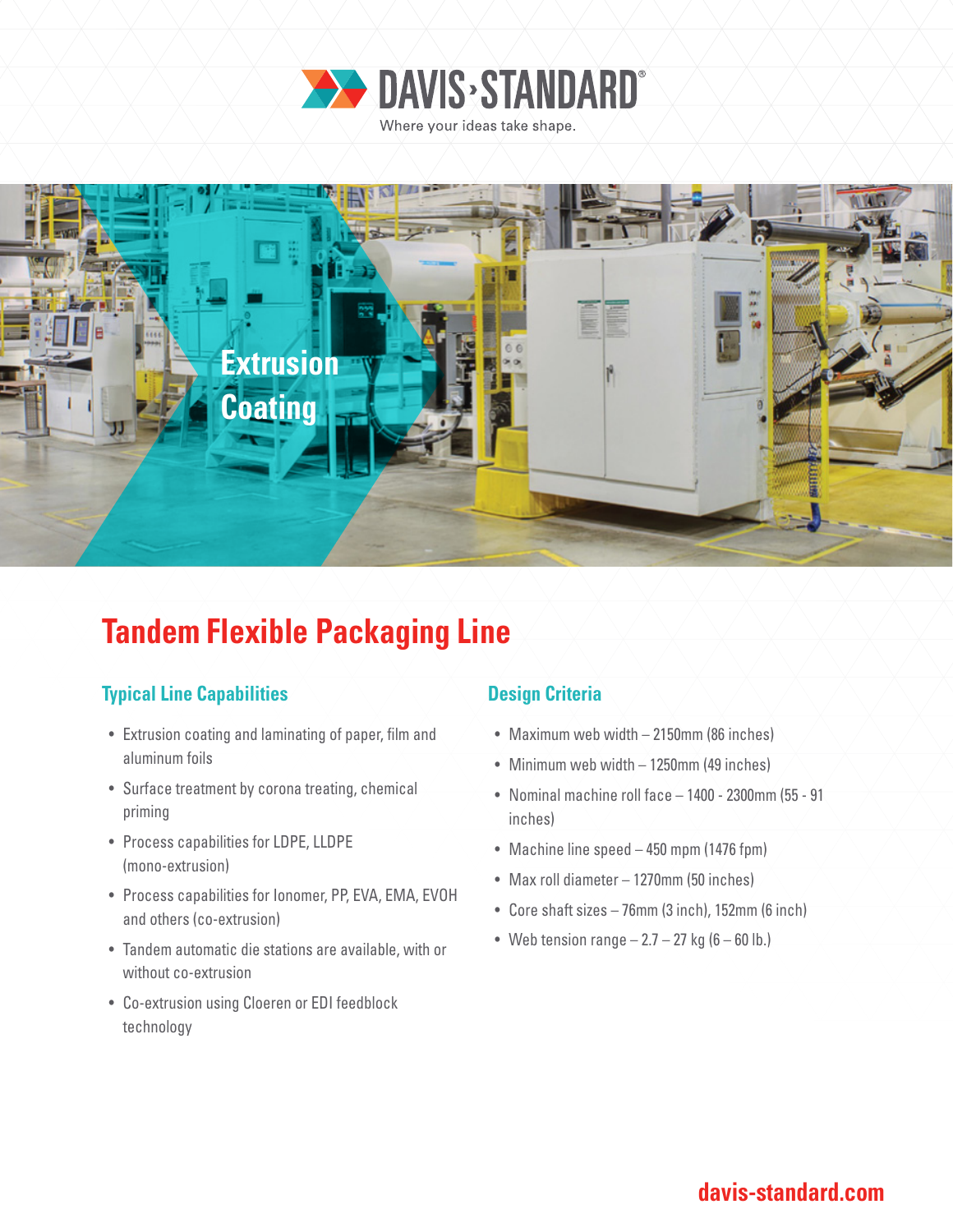

Where your ideas take shape.



# **Tandem Flexible Packaging Line**

### **Typical Line Capabilities Design Criteria**

- Extrusion coating and laminating of paper, film and aluminum foils
- Surface treatment by corona treating, chemical priming
- Process capabilities for LDPE, LLDPE (mono-extrusion)
- Process capabilities for Ionomer, PP, EVA, EMA, EVOH and others (co-extrusion)
- Tandem automatic die stations are available, with or without co-extrusion
- Co-extrusion using Cloeren or EDI feedblock technology

- Maximum web width 2150mm (86 inches)
- Minimum web width 1250mm (49 inches)
- Nominal machine roll face 1400 2300mm (55 91 inches)
- Machine line speed 450 mpm (1476 fpm)
- Max roll diameter 1270mm (50 inches)
- Core shaft sizes 76mm (3 inch), 152mm (6 inch)
- Web tension range  $-2.7 27$  kg (6  $-60$  lb.)